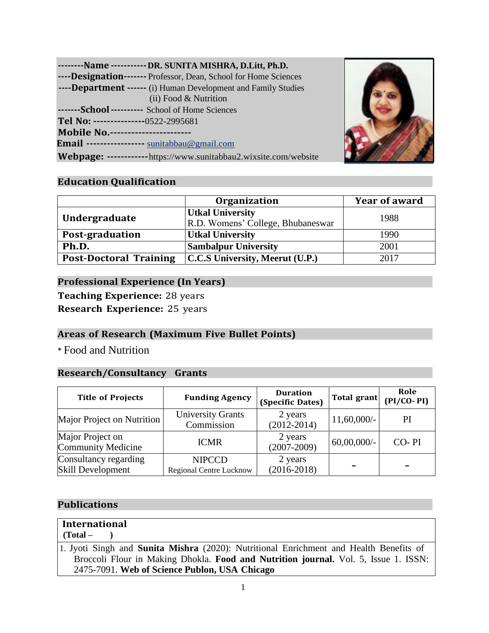|                                       | --------Name -----------DR. SUNITA MISHRA, D.Litt, Ph.D.         |  |
|---------------------------------------|------------------------------------------------------------------|--|
|                                       | ----Designation------- Professor, Dean, School for Home Sciences |  |
|                                       | ----Department ------ (i) Human Development and Family Studies   |  |
|                                       | (ii) Food & Nutrition                                            |  |
|                                       | -------School ---------- School of Home Sciences                 |  |
| Tel No: ---------------0522-2995681   |                                                                  |  |
| <b>Mobile No.--------------------</b> |                                                                  |  |
|                                       | Email ---------------- sunitabbau@gmail.com                      |  |
|                                       | Webpage: ------------https://www.sunitabbau2.wixsite.com/website |  |



# **Education Qualification**

|                               | <b>Organization</b>                                          | <b>Year of award</b> |
|-------------------------------|--------------------------------------------------------------|----------------------|
| Undergraduate                 | <b>Utkal University</b><br>R.D. Womens' College, Bhubaneswar | 1988                 |
| Post-graduation               | <b>Utkal University</b>                                      | 1990                 |
| Ph.D.                         | <b>Sambalpur University</b>                                  | 2001                 |
| <b>Post-Doctoral Training</b> | C.C.S University, Meerut (U.P.)                              | 2017                 |

### **Professional Experience (In Years)**

**Teaching Experience:** 28 years

**Research Experience:** 25 years

# **Areas of Research (Maximum Five Bullet Points)**

\* Food and Nutrition

### **Research/Consultancy Grants**

| <b>Title of Projects</b>                          | <b>Funding Agency</b>                           | <b>Duration</b><br>(Specific Dates) | Total grant    | Role<br>$(PI/CO-PI)$ |
|---------------------------------------------------|-------------------------------------------------|-------------------------------------|----------------|----------------------|
| Major Project on Nutrition                        | <b>University Grants</b><br>Commission          | 2 years<br>$(2012 - 2014)$          | $11,60,000/$ - | PI                   |
| Major Project on<br>Community Medicine            | <b>ICMR</b>                                     | 2 years<br>$(2007 - 2009)$          | $60,00,000/$ - | CO-PI                |
| Consultancy regarding<br><b>Skill Development</b> | <b>NIPCCD</b><br><b>Regional Centre Lucknow</b> | 2 years<br>$(2016-2018)$            |                |                      |

### **Publications**

# **International**

**(Total – )**

1. Jyoti Singh and **Sunita Mishra** (2020): Nutritional Enrichment and Health Benefits of Broccoli Flour in Making Dhokla. **Food and Nutrition journal.** Vol. 5, Issue 1. ISSN: 2475-7091. **Web of Science Publon, USA Chicago**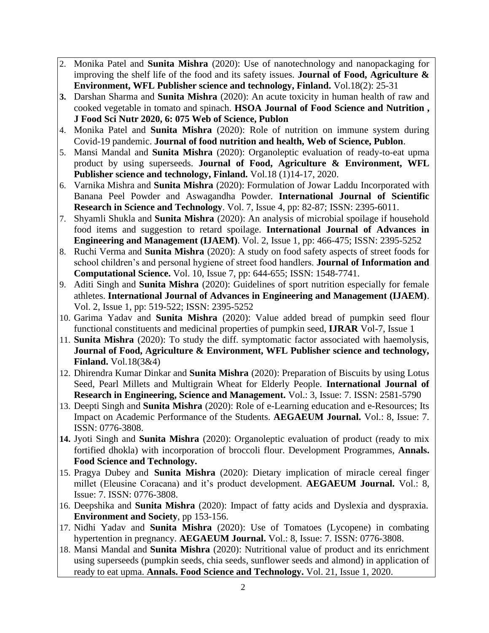- 2. Monika Patel and **Sunita Mishra** (2020): Use of nanotechnology and nanopackaging for improving the shelf life of the food and its safety issues. **Journal of Food, Agriculture & Environment, WFL Publisher science and technology, Finland.** Vol.18(2): 25-31
- **3.** Darshan Sharma and **Sunita Mishra** (2020): An acute toxicity in human health of raw and cooked vegetable in tomato and spinach. **HSOA Journal of Food Science and Nutrition , J Food Sci Nutr 2020, 6: 075 Web of Science, Publon**
- 4. Monika Patel and **Sunita Mishra** (2020): Role of nutrition on immune system during Covid-19 pandemic. **Journal of food nutrition and health, Web of Science, Publon**.
- 5. Mansi Mandal and **Sunita Mishra** (2020): Organoleptic evaluation of ready-to-eat upma product by using superseeds. **Journal of Food, Agriculture & Environment, WFL Publisher science and technology, Finland.** Vol.18 (1)14-17, 2020.
- 6. Varnika Mishra and **Sunita Mishra** (2020): Formulation of Jowar Laddu Incorporated with Banana Peel Powder and Aswagandha Powder. **International Journal of Scientific Research in Science and Technology**. Vol. 7, Issue 4, pp: 82-87; ISSN: 2395-6011.
- 7. Shyamli Shukla and **Sunita Mishra** (2020): An analysis of microbial spoilage if household food items and suggestion to retard spoilage. **International Journal of Advances in Engineering and Management (IJAEM)**. Vol. 2, Issue 1, pp: 466-475; ISSN: 2395-5252
- 8. Ruchi Verma and **Sunita Mishra** (2020): A study on food safety aspects of street foods for school children's and personal hygiene of street food handlers. **Journal of Information and Computational Science.** Vol. 10, Issue 7, pp: 644-655; ISSN: 1548-7741.
- 9. Aditi Singh and **Sunita Mishra** (2020): Guidelines of sport nutrition especially for female athletes. **International Journal of Advances in Engineering and Management (IJAEM)**. Vol. 2, Issue 1, pp: 519-522; ISSN: 2395-5252
- 10. Garima Yadav and **Sunita Mishra** (2020): Value added bread of pumpkin seed flour functional constituents and medicinal properties of pumpkin seed, **IJRAR** Vol-7, Issue 1
- 11. **Sunita Mishra** (2020): To study the diff. symptomatic factor associated with haemolysis, **Journal of Food, Agriculture & Environment, WFL Publisher science and technology, Finland.** Vol.18(3&4)
- 12. Dhirendra Kumar Dinkar and **Sunita Mishra** (2020): Preparation of Biscuits by using Lotus Seed, Pearl Millets and Multigrain Wheat for Elderly People. **International Journal of Research in Engineering, Science and Management.** Vol.: 3, Issue: 7. ISSN: 2581-5790
- 13. Deepti Singh and **Sunita Mishra** (2020): Role of e-Learning education and e-Resources; Its Impact on Academic Performance of the Students. **AEGAEUM Journal.** Vol.: 8, Issue: 7. ISSN: 0776-3808.
- **14.** Jyoti Singh and **Sunita Mishra** (2020): Organoleptic evaluation of product (ready to mix fortified dhokla) with incorporation of broccoli flour. Development Programmes, **Annals. Food Science and Technology.**
- 15. Pragya Dubey and **Sunita Mishra** (2020): Dietary implication of miracle cereal finger millet (Eleusine Coracana) and it's product development. **AEGAEUM Journal.** Vol.: 8, Issue: 7. ISSN: 0776-3808.
- 16. Deepshika and **Sunita Mishra** (2020): Impact of fatty acids and Dyslexia and dyspraxia. **Environment and Society**, pp 153-156.
- 17. Nidhi Yadav and **Sunita Mishra** (2020): Use of Tomatoes (Lycopene) in combating hypertention in pregnancy. **AEGAEUM Journal.** Vol.: 8, Issue: 7. ISSN: 0776-3808.
- 18. Mansi Mandal and **Sunita Mishra** (2020): Nutritional value of product and its enrichment using superseeds (pumpkin seeds, chia seeds, sunflower seeds and almond) in application of ready to eat upma. **Annals. Food Science and Technology.** Vol. 21, Issue 1, 2020.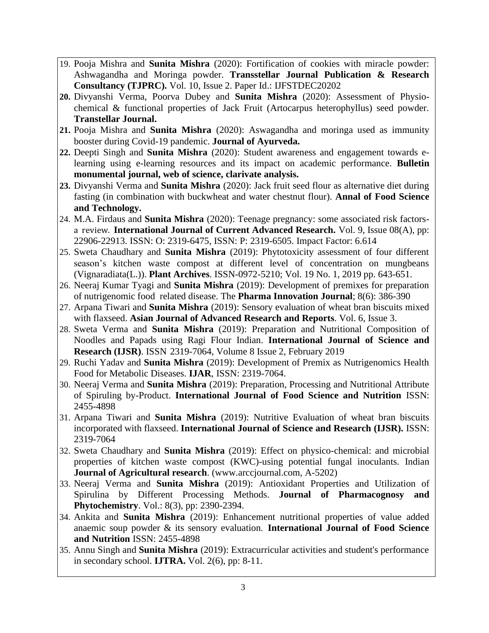- 19. Pooja Mishra and **Sunita Mishra** (2020): Fortification of cookies with miracle powder: Ashwagandha and Moringa powder. **Transstellar Journal Publication & Research Consultancy (TJPRC).** Vol. 10, Issue 2. Paper Id.: IJFSTDEC20202
- **20.** Divyanshi Verma, Poorva Dubey and **Sunita Mishra** (2020): Assessment of Physiochemical & functional properties of Jack Fruit (Artocarpus heterophyllus) seed powder. **Transtellar Journal.**
- **21.** Pooja Mishra and **Sunita Mishra** (2020): Aswagandha and moringa used as immunity booster during Covid-19 pandemic. **Journal of Ayurveda.**
- **22.** Deepti Singh and **Sunita Mishra** (2020): Student awareness and engagement towards elearning using e-learning resources and its impact on academic performance. **Bulletin monumental journal, web of science, clarivate analysis.**
- **23.** Divyanshi Verma and **Sunita Mishra** (2020): Jack fruit seed flour as alternative diet during fasting (in combination with buckwheat and water chestnut flour). **Annal of Food Science and Technology.**
- 24. M.A. Firdaus and **Sunita Mishra** (2020): Teenage pregnancy: some associated risk factorsa review. **International Journal of Current Advanced Research.** Vol. 9, Issue 08(A), pp: 22906-22913. ISSN: O: 2319-6475, ISSN: P: 2319-6505. Impact Factor: 6.614
- 25. Sweta Chaudhary and **Sunita Mishra** (2019): Phytotoxicity assessment of four different season's kitchen waste compost at different level of concentration on mungbeans (Vignaradiata(L.)). **Plant Archives**. ISSN-0972-5210; Vol. 19 No. 1, 2019 pp. 643-651.
- 26. Neeraj Kumar Tyagi and **Sunita Mishra** (2019): Development of premixes for preparation of nutrigenomic food related disease. The **Pharma Innovation Journal**; 8(6): 386-390
- 27. Arpana Tiwari and **Sunita Mishra** (2019): Sensory evaluation of wheat bran biscuits mixed with flaxseed. **Asian Journal of Advanced Research and Reports**. Vol. 6, Issue 3.
- 28. Sweta Verma and **Sunita Mishra** (2019): Preparation and Nutritional Composition of Noodles and Papads using Ragi Flour Indian. **International Journal of Science and Research (IJSR)**. ISSN 2319-7064, Volume 8 Issue 2, February 2019
- 29. Ruchi Yadav and **Sunita Mishra** (2019): Development of Premix as Nutrigenomics Health Food for Metabolic Diseases. **IJAR**, ISSN: 2319-7064.
- 30. Neeraj Verma and **Sunita Mishra** (2019): Preparation, Processing and Nutritional Attribute of Spiruling by-Product. **International Journal of Food Science and Nutrition** ISSN: 2455-4898
- 31. Arpana Tiwari and **Sunita Mishra** (2019): Nutritive Evaluation of wheat bran biscuits incorporated with flaxseed. **International Journal of Science and Research (IJSR).** ISSN: 2319-7064
- 32. Sweta Chaudhary and **Sunita Mishra** (2019): Effect on physico-chemical: and microbial properties of kitchen waste compost (KWC)-using potential fungal inoculants. Indian **Journal of Agricultural research**. [\(www.arccjournal.com,](http://www.arccjournal.com/) A-5202)
- 33. Neeraj Verma and **Sunita Mishra** (2019): Antioxidant Properties and Utilization of Spirulina by Different Processing Methods. **Journal of Pharmacognosy and Phytochemistry**. Vol.: 8(3), pp: 2390-2394.
- 34. Ankita and **Sunita Mishra** (2019): Enhancement nutritional properties of value added anaemic soup powder & its sensory evaluation. **International Journal of Food Science and Nutrition** ISSN: 2455-4898
- 35. Annu Singh and **Sunita Mishra** (2019): Extracurricular activities and student's performance in secondary school. **[IJTRA.](https://www.researchgate.net/journal/2320-8163_International_Journal_of_Technical_Research_and_Applications)** Vol. 2(6), pp: 8-11.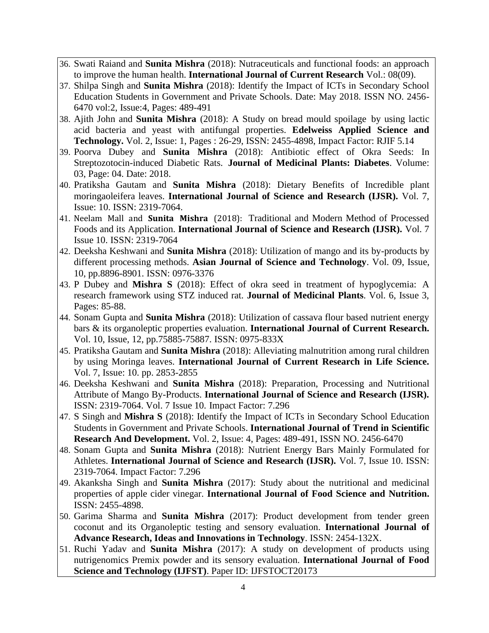- 36. Swati Raiand and **Sunita Mishra** (2018): Nutraceuticals and functional foods: an approach to improve the human health. **International Journal of Current Research** Vol.: 08(09).
- 37. Shilpa Singh and **Sunita Mishra** (2018): Identify the Impact of ICTs in Secondary School Education Students in Government and Private Schools. Date: May 2018. ISSN NO. 2456- 6470 vol:2, Issue:4, Pages: 489-491
- 38. Ajith John and **Sunita Mishra** (2018): A Study on bread mould spoilage by using lactic acid bacteria and yeast with antifungal properties. **Edelweiss Applied Science and Technology.** Vol. 2, Issue: 1, Pages : 26-29, ISSN: 2455-4898, Impact Factor: RJIF 5.14
- 39. Poorva Dubey and **Sunita Mishra** (2018): Antibiotic effect of Okra Seeds: In Streptozotocin-induced Diabetic Rats. **Journal of Medicinal Plants: Diabetes**. Volume: 03, Page: 04. Date: 2018.
- 40. Pratiksha Gautam and **Sunita Mishra** (2018): Dietary Benefits of Incredible plant moringaoleifera leaves. **International Journal of Science and Research (IJSR).** Vol. 7, Issue: 10. ISSN: 2319-7064.
- 41. Neelam Mall and **Sunita Mishra** (2018): Traditional and Modern Method of Processed Foods and its Application. **International Journal of Science and Research (IJSR).** Vol. 7 Issue 10. ISSN: 2319-7064
- 42. Deeksha Keshwani and **Sunita Mishra** (2018): Utilization of mango and its by-products by different processing methods. **Asian Journal of Science and Technology**. Vol. 09, Issue, 10, pp.8896-8901. ISSN: 0976-3376
- 43. P Dubey and **Mishra S** (2018): Effect of okra seed in treatment of [hypoglycemia:](https://scholar.google.co.in/scholar?oi=bibs&cluster=6449366331220313166&btnI=1&hl=en) A [research framework using STZ induced rat.](https://scholar.google.co.in/scholar?oi=bibs&cluster=6449366331220313166&btnI=1&hl=en) **Journal of Medicinal Plants**. Vol. 6, Issue 3, Pages: 85-88.
- 44. Sonam Gupta and **Sunita Mishra** (2018): Utilization of cassava flour based nutrient energy bars & its organoleptic properties evaluation. **International Journal of Current Research.** Vol. 10, Issue, 12, pp.75885-75887. ISSN: 0975-833X
- 45. Pratiksha Gautam and **Sunita Mishra** (2018): Alleviating malnutrition among rural children by using Moringa leaves. **International Journal of Current Research in Life Science.** Vol. 7, Issue: 10. pp. 2853-2855
- 46. Deeksha Keshwani and **Sunita Mishra** (2018): Preparation, Processing and Nutritional Attribute of Mango By-Products. **International Journal of Science and Research (IJSR).** ISSN: 2319-7064. Vol. 7 Issue 10. Impact Factor: 7.296
- 47. S Singh and **Mishra S** (2018): Identify the Impact of ICTs in Secondary School Education Students in Government and Private Schools. **International Journal of Trend in Scientific Research And Development.** Vol. 2, Issue: 4, Pages: 489-491, ISSN NO. 2456-6470
- 48. Sonam Gupta and **Sunita Mishra** (2018): Nutrient Energy Bars Mainly Formulated for Athletes. **International Journal of Science and Research (IJSR).** Vol. 7, Issue 10. ISSN: 2319-7064. Impact Factor: 7.296
- 49. Akanksha Singh and **Sunita Mishra** (2017): Study about the nutritional and medicinal properties of apple cider vinegar. **International Journal of Food Science and Nutrition.** ISSN: 2455-4898.
- 50. Garima Sharma and **Sunita Mishra** (2017): Product development from tender green coconut and its Organoleptic testing and sensory evaluation. **International Journal of Advance Research, Ideas and Innovations in Technology**. ISSN: 2454-132X.
- 51. Ruchi Yadav and **Sunita Mishra** (2017): A study on development of products using nutrigenomics Premix powder and its sensory evaluation. **International Journal of Food Science and Technology (IJFST)**. Paper ID: IJFSTOCT20173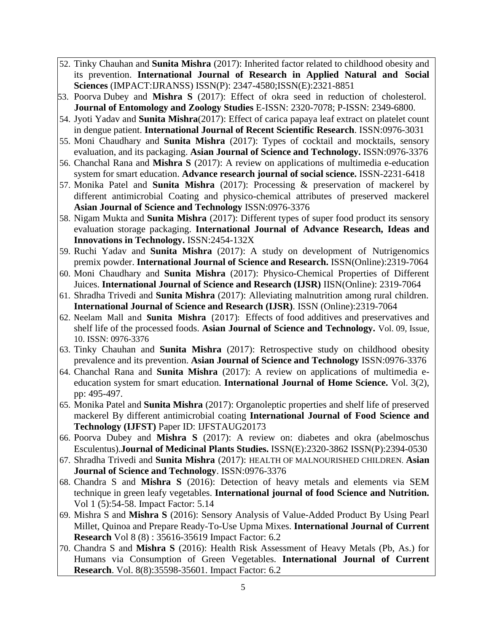- 52. Tinky Chauhan and **Sunita Mishra** (2017): Inherited factor related to childhood obesity and its prevention. **International Journal of Research in Applied Natural and Social Sciences** (IMPACT:IJRANSS) ISSN(P): 2347-4580;ISSN(E):2321-8851
- 53. Poorva Dubey and **Mishra S** (2017): Effect of okra seed in reduction of cholesterol. **Journal of Entomology and Zoology Studies** E-ISSN: 2320-7078; P-ISSN: 2349-6800.
- 54. Jyoti Yadav and **Sunita Mishra**(2017): Effect of carica papaya leaf extract on platelet count in dengue patient. **International Journal of Recent Scientific Research**. ISSN:0976-3031
- 55. Moni Chaudhary and **Sunita Mishra** (2017): Types of cocktail and mocktails, sensory evaluation, and its packaging. **Asian Journal of Science and Technology.** ISSN:0976-3376
- 56. Chanchal Rana and **Mishra S** (2017): A review on applications of multimedia e-education system for smart education. **Advance research journal of social science.** ISSN-2231-6418
- 57. Monika Patel and **Sunita Mishra** (2017): Processing & preservation of mackerel by different antimicrobial Coating and physico-chemical attributes of preserved mackerel **Asian Journal of Science and Technology** ISSN:0976-3376
- 58. Nigam Mukta and **Sunita Mishra** (2017): Different types of super food product its sensory evaluation storage packaging. **International Journal of Advance Research, Ideas and Innovations in Technology.** ISSN:2454-132X
- 59. Ruchi Yadav and **Sunita Mishra** (2017): A study on development of Nutrigenomics premix powder. **International Journal of Science and Research.** ISSN(Online):2319-7064
- 60. Moni Chaudhary and **Sunita Mishra** (2017): Physico-Chemical Properties of Different Juices. **International Journal of Science and Research (IJSR)** IISN(Online): 2319-7064
- 61. Shradha Trivedi and **Sunita Mishra** (2017): Alleviating malnutrition among rural children. **International Journal of Science and Research (IJSR)**. ISSN (Online):2319-7064
- 62. Neelam Mall and **Sunita Mishra** (2017): Effects of food additives and preservatives and shelf life of the processed foods. **Asian Journal of Science and Technology.** Vol. 09, Issue, 10. ISSN: 0976-3376
- 63. Tinky Chauhan and **Sunita Mishra** (2017): Retrospective study on childhood obesity prevalence and its prevention. **Asian Journal of Science and Technology** ISSN:0976-3376
- 64. Chanchal Rana and **Sunita Mishra** (2017): A review on applications of multimedia eeducation system for smart education. **International Journal of Home Science.** Vol. 3(2), pp: 495-497.
- 65. Monika Patel and **Sunita Mishra** (2017): Organoleptic properties and shelf life of preserved mackerel By different antimicrobial coating **International Journal of Food Science and Technology (IJFST)** Paper ID: IJFSTAUG20173
- 66. Poorva Dubey and **Mishra S** (2017): A review on: diabetes and okra (abelmoschus Esculentus).**Journal of Medicinal Plants Studies.** ISSN(E):2320-3862 ISSN(P):2394-0530
- 67. Shradha Trivedi and **Sunita Mishra** (2017): HEALTH OF MALNOURISHED CHILDREN. **Asian Journal of Science and Technology**. ISSN:0976-3376
- 68. Chandra S and **Mishra S** (2016): Detection of heavy metals and elements via SEM technique in green leafy vegetables. **International journal of food Science and Nutrition.** Vol 1 (5):54-58. Impact Factor: 5.14
- 69. Mishra S and **Mishra S** (2016): Sensory Analysis of Value-Added Product By Using Pearl Millet, Quinoa and Prepare Ready-To-Use Upma Mixes. **International Journal of Current Research** Vol 8 (8) : 35616-35619 Impact Factor: 6.2
- 70. Chandra S and **Mishra S** (2016): Health Risk Assessment of Heavy Metals (Pb, As.) for Humans via Consumption of Green Vegetables. **International Journal of Current Research**. Vol. 8(8):35598-35601. Impact Factor: 6.2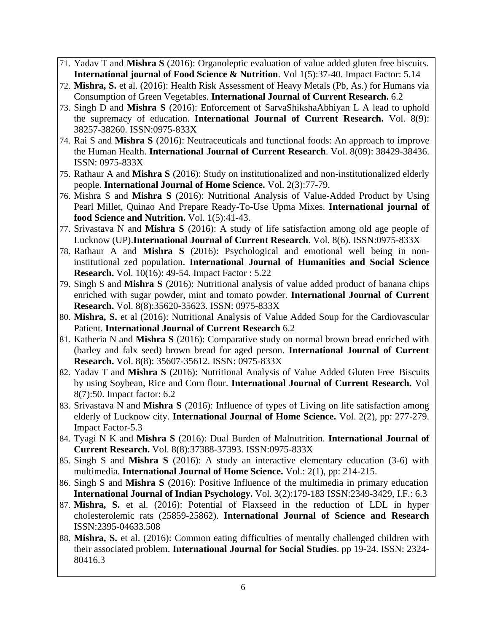- 71. Yadav T and **Mishra S** (2016): Organoleptic evaluation of value added gluten free biscuits. **International journal of Food Science & Nutrition**. Vol 1(5):37-40. Impact Factor: 5.14
- 72. **Mishra, S.** et al. (2016): Health Risk Assessment of Heavy Metals (Pb, As.) for Humans via Consumption of Green Vegetables. **International Journal of Current Research.** 6.2
- 73. Singh D and **Mishra S** (2016): Enforcement of SarvaShikshaAbhiyan L A lead to uphold the supremacy of education. **International Journal of Current Research.** Vol. 8(9): 38257-38260. ISSN:0975-833X
- 74. Rai S and **Mishra S** (2016): Neutraceuticals and functional foods: An approach to improve the Human Health. **International Journal of Current Research**. Vol. 8(09): 38429-38436. ISSN: 0975-833X
- 75. Rathaur A and **Mishra S** (2016): Study on institutionalized and non-institutionalized elderly people. **International Journal of Home Science.** Vol. 2(3):77-79.
- 76. Mishra S and **Mishra S** (2016): Nutritional Analysis of Value-Added Product by Using Pearl Millet, Quinao And Prepare Ready-To-Use Upma Mixes. **International journal of food Science and Nutrition.** Vol. 1(5):41-43.
- 77. Srivastava N and **Mishra S** (2016): A study of life satisfaction among old age people of Lucknow (UP).**International Journal of Current Research**. Vol. 8(6). ISSN:0975-833X
- 78. Rathaur A and **Mishra S** (2016): Psychological and emotional well being in noninstitutional zed population. **International Journal of Humanities and Social Science Research.** Vol. 10(16): 49-54. Impact Factor : 5.22
- 79. Singh S and **Mishra S** (2016): Nutritional analysis of value added product of banana chips enriched with sugar powder, mint and tomato powder. **International Journal of Current Research.** Vol. 8(8):35620-35623. ISSN: 0975-833X
- 80. **Mishra, S.** et al (2016): Nutritional Analysis of Value Added Soup for the Cardiovascular Patient. **International Journal of Current Research** 6.2
- 81. Katheria N and **Mishra S** (2016): Comparative study on normal brown bread enriched with (barley and falx seed) brown bread for aged person. **International Journal of Current Research.** Vol. 8(8): 35607-35612. ISSN: 0975-833X
- 82. Yadav T and **Mishra S** (2016): Nutritional Analysis of Value Added Gluten Free Biscuits by using Soybean, Rice and Corn flour. **International Journal of Current Research.** Vol 8(7):50. Impact factor: 6.2
- 83. Srivastava N and **Mishra S** (2016): Influence of types of Living on life satisfaction among elderly of Lucknow city. **International Journal of Home Science.** Vol. 2(2), pp: 277-279. Impact Factor-5.3
- 84. Tyagi N K and **Mishra S** (2016): Dual Burden of Malnutrition. **International Journal of Current Research.** Vol. 8(8):37388-37393. ISSN:0975-833X
- 85. Singh S and **Mishra S** (2016): A study an interactive elementary education (3-6) with multimedia. **International Journal of Home Science.** Vol.: 2(1), pp: 214-215.
- 86. Singh S and **Mishra S** (2016): Positive Influence of the multimedia in primary education **International Journal of Indian Psychology.** Vol. 3(2):179-183 ISSN:2349-3429, I.F.: 6.3
- 87. **Mishra, S.** et al. (2016): Potential of Flaxseed in the reduction of LDL in hyper cholesterolemic rats (25859-25862). **International Journal of Science and Research** ISSN:2395-04633.508
- 88. **Mishra, S.** et al. (2016): Common eating difficulties of mentally challenged children with their associated problem. **International Journal for Social Studies**. pp 19-24. ISSN: 2324- 80416.3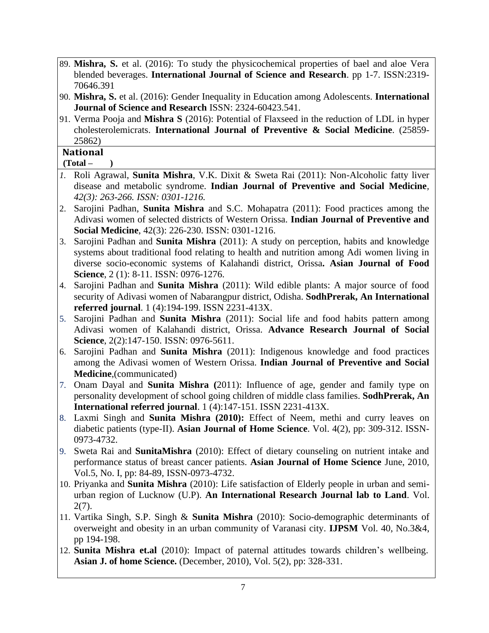- 89. **Mishra, S.** et al. (2016): To study the physicochemical properties of bael and aloe Vera blended beverages. **International Journal of Science and Research**. pp 1-7. ISSN:2319- 70646.391
- 90. **Mishra, S.** et al. (2016): Gender Inequality in Education among Adolescents. **International Journal of Science and Research** ISSN: 2324-60423.541.
- 91. Verma Pooja and **Mishra S** (2016): Potential of Flaxseed in the reduction of LDL in hyper cholesterolemicrats. **International Journal of Preventive & Social Medicine**. (25859- 25862)

### **National**

### **(Total – )**

- *1.* Roli Agrawal, **Sunita Mishra**, V.K. Dixit & Sweta Rai (2011): Non-Alcoholic fatty liver disease and metabolic syndrome. **Indian Journal of Preventive and Social Medicine***, 42(3): 263-266. ISSN: 0301-1216.*
- 2. Sarojini Padhan, **Sunita Mishra** and S.C. Mohapatra (2011): Food practices among the Adivasi women of selected districts of Western Orissa. **Indian Journal of Preventive and Social Medicine**, 42(3): 226-230. ISSN: 0301-1216.
- 3. Sarojini Padhan and **Sunita Mishra** (2011): A study on perception, habits and knowledge systems about traditional food relating to health and nutrition among Adi women living in diverse socio-economic systems of Kalahandi district, Orissa**. Asian Journal of Food Science**, 2 (1): 8-11. ISSN: 0976-1276.
- 4. Sarojini Padhan and **Sunita Mishra** (2011): Wild edible plants: A major source of food security of Adivasi women of Nabarangpur district, Odisha. **SodhPrerak, An International referred journal**. 1 (4):194-199. ISSN 2231-413X.
- 5. Sarojini Padhan and **Sunita Mishra** (2011): Social life and food habits pattern among Adivasi women of Kalahandi district, Orissa. **Advance Research Journal of Social Science**, 2(2):147-150. ISSN: 0976-5611.
- 6. Sarojini Padhan and **Sunita Mishra** (2011): Indigenous knowledge and food practices among the Adivasi women of Western Orissa. **Indian Journal of Preventive and Social Medicine**,(communicated)
- 7. Onam Dayal and **Sunita Mishra (**2011): Influence of age, gender and family type on personality development of school going children of middle class families. **SodhPrerak, An International referred journal**. 1 (4):147-151. ISSN 2231-413X.
- 8. Laxmi Singh and **Sunita Mishra (2010):** Effect of Neem, methi and curry leaves on diabetic patients (type-II). **Asian Journal of Home Science**. Vol. 4(2), pp: 309-312. ISSN-0973-4732.
- 9. Sweta Rai and **SunitaMishra** (2010): Effect of dietary counseling on nutrient intake and performance status of breast cancer patients. **Asian Journal of Home Science** June, 2010, Vol.5, No. I, pp: 84-89, ISSN-0973-4732.
- 10. Priyanka and **Sunita Mishra** (2010): Life satisfaction of Elderly people in urban and semiurban region of Lucknow (U.P). **An International Research Journal lab to Land**. Vol. 2(7).
- 11. Vartika Singh, S.P. Singh & **Sunita Mishra** (2010): Socio-demographic determinants of overweight and obesity in an urban community of Varanasi city. **IJPSM** Vol. 40, No.3&4, pp 194-198.
- 12. **Sunita Mishra et.al** (2010): Impact of paternal attitudes towards children's wellbeing. **Asian J. of home Science.** (December, 2010), Vol. 5(2), pp: 328-331.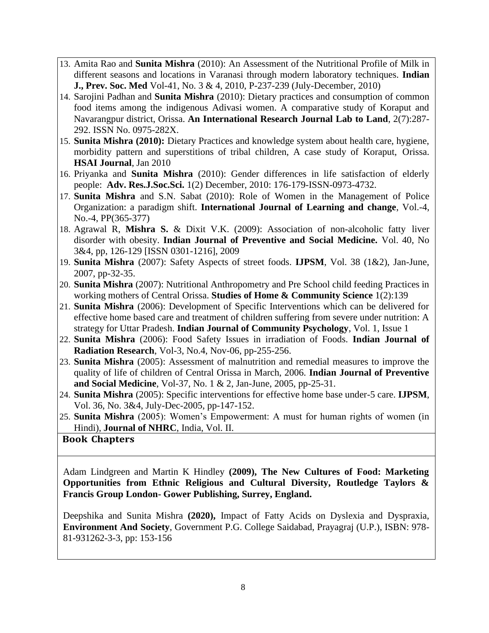- 13. Amita Rao and **Sunita Mishra** (2010): An Assessment of the Nutritional Profile of Milk in different seasons and locations in Varanasi through modern laboratory techniques. **Indian J., Prev. Soc. Med** Vol-41, No. 3 & 4, 2010, P-237-239 (July-December, 2010)
- 14. Sarojini Padhan and **Sunita Mishra** (2010): Dietary practices and consumption of common food items among the indigenous Adivasi women. A comparative study of Koraput and Navarangpur district, Orissa. **An International Research Journal Lab to Land**, 2(7):287- 292. ISSN No. 0975-282X.
- 15. **Sunita Mishra (2010):** Dietary Practices and knowledge system about health care, hygiene, morbidity pattern and superstitions of tribal children, A case study of Koraput, Orissa. **HSAI Journal**, Jan 2010
- 16. Priyanka and **Sunita Mishra** (2010): Gender differences in life satisfaction of elderly people: **Adv. Res.J.Soc.Sci.** 1(2) December, 2010: 176-179-ISSN-0973-4732.
- 17. **Sunita Mishra** and S.N. Sabat (2010): Role of Women in the Management of Police Organization: a paradigm shift. **International Journal of Learning and change**, Vol.-4, No.-4, PP(365-377)
- 18. Agrawal R, **Mishra S.** & Dixit V.K. (2009): Association of non-alcoholic fatty liver disorder with obesity. **Indian Journal of Preventive and Social Medicine.** Vol. 40, No 3&4, pp, 126-129 [ISSN 0301-1216], 2009
- 19. **Sunita Mishra** (2007): Safety Aspects of street foods. **IJPSM**, Vol. 38 (1&2), Jan-June, 2007, pp-32-35.
- 20. **Sunita Mishra** (2007): Nutritional Anthropometry and Pre School child feeding Practices in working mothers of Central Orissa. **Studies of Home & Community Science** 1(2):139
- 21. **Sunita Mishra** (2006): Development of Specific Interventions which can be delivered for effective home based care and treatment of children suffering from severe under nutrition: A strategy for Uttar Pradesh. **Indian Journal of Community Psychology**, Vol. 1, Issue 1
- 22. **Sunita Mishra** (2006): Food Safety Issues in irradiation of Foods. **Indian Journal of Radiation Research**, Vol-3, No.4, Nov-06, pp-255-256.
- 23. **Sunita Mishra** (2005): Assessment of malnutrition and remedial measures to improve the quality of life of children of Central Orissa in March, 2006. **Indian Journal of Preventive and Social Medicine**, Vol-37, No. 1 & 2, Jan-June, 2005, pp-25-31.
- 24. **Sunita Mishra** (2005): Specific interventions for effective home base under-5 care. **IJPSM**, Vol. 36, No. 3&4, July-Dec-2005, pp-147-152.
- 25. **Sunita Mishra** (2005): Women's Empowerment: A must for human rights of women (in Hindi), **Journal of NHRC**, India, Vol. II.

# **Book Chapters**

Adam Lindgreen and Martin K Hindley **(2009), The New Cultures of Food: Marketing Opportunities from Ethnic Religious and Cultural Diversity, Routledge Taylors & Francis Group London- Gower Publishing, Surrey, England.**

Deepshika and Sunita Mishra **(2020),** Impact of Fatty Acids on Dyslexia and Dyspraxia, **Environment And Society**, Government P.G. College Saidabad, Prayagraj (U.P.), ISBN: 978- 81-931262-3-3, pp: 153-156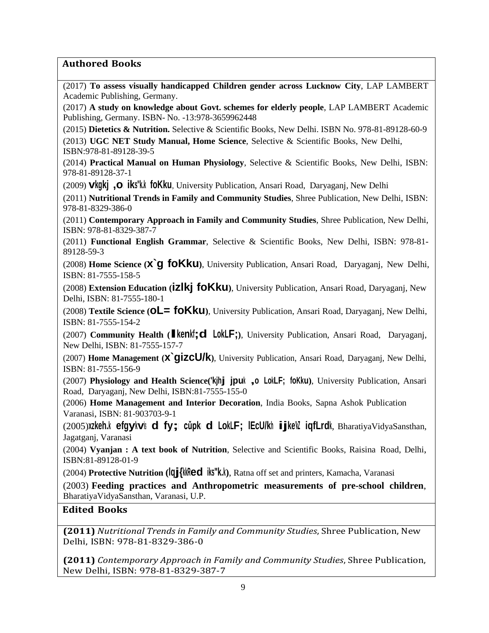### **Authored Books**

(2017) **To assess visually handicapped Children gender across Lucknow City**, LAP LAMBERT Academic Publishing, Germany.

(2017) **A study on knowledge about Govt. schemes for elderly people**, LAP LAMBERT Academic Publishing, Germany. ISBN- No. -13:978-3659962448

(2015) **Dietetics & Nutrition.** Selective & Scientific Books, New Delhi. ISBN No. 978-81-89128-60-9

(2013) **UGC NET Study Manual, Home Science**, Selective & Scientific Books, New Delhi, ISBN:978-81-89128-39-5

(2014) **Practical Manual on Human Physiology**, Selective & Scientific Books, New Delhi, ISBN: 978-81-89128-37-1

(2009) **vkgkj ,oa iks"k.k foKku**, University Publication, Ansari Road, Daryaganj, New Delhi

(2011) **Nutritional Trends in Family and Community Studies**, Shree Publication, New Delhi, ISBN: 978-81-8329-386-0

(2011) **Contemporary Approach in Family and Community Studies**, Shree Publication, New Delhi, ISBN: 978-81-8329-387-7

(2011) **Functional English Grammar**, Selective & Scientific Books, New Delhi, ISBN: 978-81- 89128-59-3

(2008) **Home Science (x`g foKku)**, University Publication, Ansari Road, Daryaganj, New Delhi, ISBN: 81-7555-158-5

(2008) **Extension Education (izlkj foKku)**, University Publication, Ansari Road, Daryaganj, New Delhi, ISBN: 81-7555-180-1

(2008) **Textile Science (oL= foKku)**, University Publication, Ansari Road, Daryaganj, New Delhi, ISBN: 81-7555-154-2

(2007) **Community Health (lkeqnkf;d LokLF;)**, University Publication, Ansari Road, Daryaganj, New Delhi, ISBN: 81-7555-157-7

(2007) **Home Management (x`gizcU/k)**, University Publication, Ansari Road, Daryaganj, New Delhi, ISBN: 81-7555-156-9

(2007) **Physiology and Health Science('kjhj jpuk ,oa LokLF; foKku)**, University Publication, Ansari Road, Daryaganj, New Delhi, ISBN:81-7555-155-0

(2006) **Home Management and Interior Decoration**, India Books, Sapna Ashok Publication Varanasi, ISBN: 81-903703-9-1

(2005)**xzkeh.k efgykvksa ds fy;s cǔpksa ds LokLF; lEcU/kh ijke'kZ iqfLrdk**, BharatiyaVidyaSansthan, Jagatganj, Varanasi

(2004) **Vyanjan : A text book of Nutrition**, Selective and Scientific Books, Raisina Road, Delhi, ISBN:81-89128-01-9

(2004) **Protective Nutrition (lqj{kkRed iks"k.k)**, Ratna off set and printers, Kamacha, Varanasi

(2003) **Feeding practices and Anthropometric measurements of pre-school children**, BharatiyaVidyaSansthan, Varanasi, U.P.

### **Edited Books**

**(2011)** *Nutritional Trends in Family and Community Studies*, Shree Publication, New Delhi, ISBN: 978-81-8329-386-0

**(2011)** *Contemporary Approach in Family and Community Studies*, Shree Publication, New Delhi, ISBN: 978-81-8329-387-7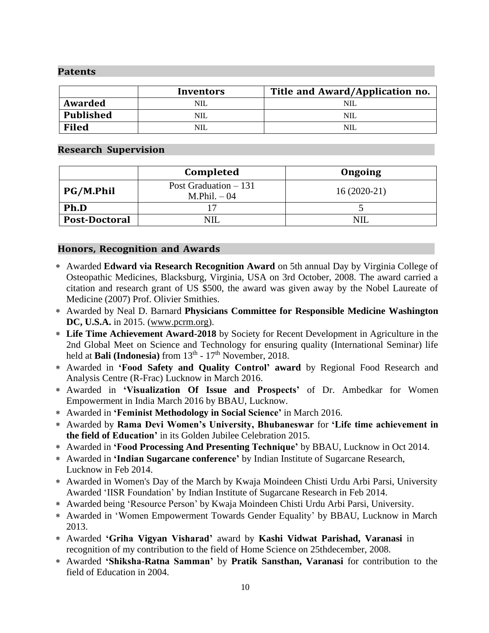#### **Patents**

|                  | Inventors | Title and Award/Application no. |
|------------------|-----------|---------------------------------|
| Awarded          | NIL       |                                 |
| <b>Published</b> | NIL.      |                                 |
| <b>Filed</b>     | NIL       |                                 |

#### **Research Supervision**

|                      | Completed                               | Ongoing       |
|----------------------|-----------------------------------------|---------------|
| <b>PG/M.Phil</b>     | Post Graduation $-131$<br>$M.Phil. -04$ | $16(2020-21)$ |
| Ph.D                 |                                         |               |
| <b>Post-Doctoral</b> | <b>NIL</b>                              |               |

#### **Honors, Recognition and Awards**

- Awarded **Edward via Research Recognition Award** on 5th annual Day by Virginia College of Osteopathic Medicines, Blacksburg, Virginia, USA on 3rd October, 2008. The award carried a citation and research grant of US \$500, the award was given away by the Nobel Laureate of Medicine (2007) Prof. Olivier Smithies.
- Awarded by Neal D. Barnard **Physicians Committee for Responsible Medicine Washington DC, U.S.A.** in 2015. [\(www.pcrm.org\)](http://www.pcrm.org/).
- **Life Time Achievement Award-2018** by Society for Recent Development in Agriculture in the 2nd Global Meet on Science and Technology for ensuring quality (International Seminar) life held at **Bali** (Indonesia) from 13<sup>th</sup> - 17<sup>th</sup> November, 2018.
- Awarded in **'Food Safety and Quality Control' award** by Regional Food Research and Analysis Centre (R-Frac) Lucknow in March 2016.
- Awarded in **'Visualization Of Issue and Prospects'** of Dr. Ambedkar for Women Empowerment in India March 2016 by BBAU, Lucknow.
- Awarded in **'Feminist Methodology in Social Science'** in March 2016.
- Awarded by **Rama Devi Women's University, Bhubaneswar** for **'Life time achievement in the field of Education'** in its Golden Jubilee Celebration 2015.
- Awarded in **'Food Processing And Presenting Technique'** by BBAU, Lucknow in Oct 2014.
- Awarded in **'Indian Sugarcane conference'** by Indian Institute of Sugarcane Research, Lucknow in Feb 2014.
- Awarded in Women's Day of the March by Kwaja Moindeen Chisti Urdu Arbi Parsi, University Awarded 'IISR Foundation' by Indian Institute of Sugarcane Research in Feb 2014.
- Awarded being 'Resource Person' by Kwaja Moindeen Chisti Urdu Arbi Parsi, University.
- Awarded in 'Women Empowerment Towards Gender Equality' by BBAU, Lucknow in March 2013.
- Awarded **'Griha Vigyan Visharad'** award by **Kashi Vidwat Parishad, Varanasi** in recognition of my contribution to the field of Home Science on 25thdecember, 2008.
- Awarded **'Shiksha-Ratna Samman'** by **Pratik Sansthan, Varanasi** for contribution to the field of Education in 2004.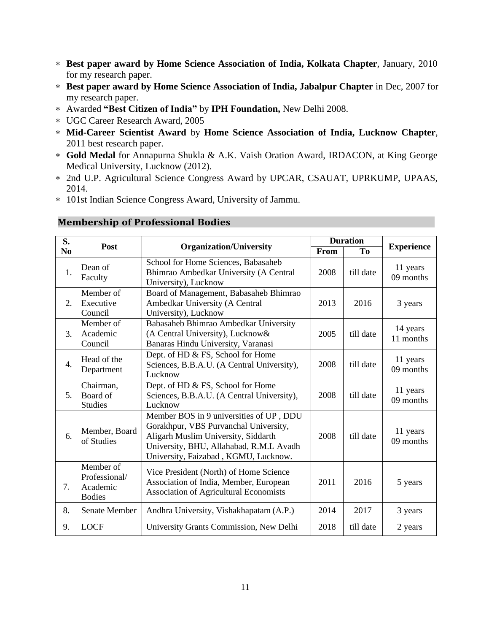- **Best paper award by Home Science Association of India, Kolkata Chapter**, January, 2010 for my research paper.
- **Best paper award by Home Science Association of India, Jabalpur Chapter** in Dec, 2007 for my research paper.
- Awarded **"Best Citizen of India"** by **IPH Foundation,** New Delhi 2008.
- UGC Career Research Award, 2005
- **Mid-Career Scientist Award** by **Home Science Association of India, Lucknow Chapter**, 2011 best research paper.
- **Gold Medal** for Annapurna Shukla & A.K. Vaish Oration Award, IRDACON, at King George Medical University, Lucknow (2012).
- 2nd U.P. Agricultural Science Congress Award by UPCAR, CSAUAT, UPRKUMP, UPAAS, 2014.
- 101st Indian Science Congress Award, University of Jammu.

| S.               |                                                         |                                                                                                                                                                                                            | <b>Duration</b> |                |                       |
|------------------|---------------------------------------------------------|------------------------------------------------------------------------------------------------------------------------------------------------------------------------------------------------------------|-----------------|----------------|-----------------------|
| N <sub>0</sub>   |                                                         | Post<br><b>Organization/University</b>                                                                                                                                                                     |                 | T <sub>0</sub> | <b>Experience</b>     |
| 1.               | Dean of<br>Faculty                                      | School for Home Sciences, Babasaheb<br>Bhimrao Ambedkar University (A Central<br>University), Lucknow                                                                                                      | 2008            | till date      | 11 years<br>09 months |
| $\overline{2}$ . | Member of<br>Executive<br>Council                       | Board of Management, Babasaheb Bhimrao<br>Ambedkar University (A Central<br>University), Lucknow                                                                                                           | 2013            | 2016           | 3 years               |
| 3.               | Member of<br>Academic<br>Council                        | Babasaheb Bhimrao Ambedkar University<br>(A Central University), Lucknow&<br>Banaras Hindu University, Varanasi                                                                                            | 2005            | till date      | 14 years<br>11 months |
| $\overline{4}$ . | Head of the<br>Department                               | Dept. of HD & FS, School for Home<br>Sciences, B.B.A.U. (A Central University),<br>Lucknow                                                                                                                 | 2008            | till date      | 11 years<br>09 months |
| 5 <sub>1</sub>   | Chairman,<br>Board of<br><b>Studies</b>                 | Dept. of HD & FS, School for Home<br>Sciences, B.B.A.U. (A Central University),<br>Lucknow                                                                                                                 | 2008            | till date      | 11 years<br>09 months |
| 6.               | Member, Board<br>of Studies                             | Member BOS in 9 universities of UP, DDU<br>Gorakhpur, VBS Purvanchal University,<br>Aligarh Muslim University, Siddarth<br>University, BHU, Allahabad, R.M.L Avadh<br>University, Faizabad, KGMU, Lucknow. | 2008            | till date      | 11 years<br>09 months |
| 7.               | Member of<br>Professional/<br>Academic<br><b>Bodies</b> | Vice President (North) of Home Science<br>Association of India, Member, European<br><b>Association of Agricultural Economists</b>                                                                          | 2011            | 2016           | 5 years               |
| 8.               | Senate Member                                           | Andhra University, Vishakhapatam (A.P.)                                                                                                                                                                    | 2014            | 2017           | 3 years               |
| 9.               | <b>LOCF</b>                                             | University Grants Commission, New Delhi                                                                                                                                                                    | 2018            | till date      | 2 years               |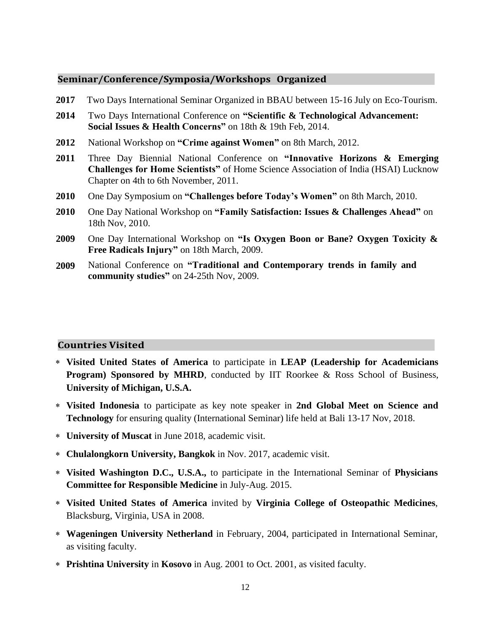#### **Seminar/Conference/Symposia/Workshops Organized**

- **2017** Two Days International Seminar Organized in BBAU between 15-16 July on Eco-Tourism.
- **2014** Two Days International Conference on **"Scientific & Technological Advancement: Social Issues & Health Concerns"** on 18th & 19th Feb, 2014.
- **2012** National Workshop on **"Crime against Women"** on 8th March, 2012.
- **2011** Three Day Biennial National Conference on **"Innovative Horizons & Emerging Challenges for Home Scientists"** of Home Science Association of India (HSAI) Lucknow Chapter on 4th to 6th November, 2011.
- **2010** One Day Symposium on **"Challenges before Today's Women"** on 8th March, 2010.
- **2010** One Day National Workshop on **"Family Satisfaction: Issues & Challenges Ahead"** on 18th Nov, 2010.
- **2009** One Day International Workshop on **"Is Oxygen Boon or Bane? Oxygen Toxicity & Free Radicals Injury"** on 18th March, 2009.
- **2009** National Conference on **"Traditional and Contemporary trends in family and community studies"** on 24-25th Nov, 2009.

#### **Countries Visited**

- **Visited United States of America** to participate in **LEAP (Leadership for Academicians Program) Sponsored by MHRD**, conducted by IIT Roorkee & Ross School of Business, **University of Michigan, U.S.A.**
- **Visited Indonesia** to participate as key note speaker in **2nd Global Meet on Science and Technology** for ensuring quality (International Seminar) life held at Bali 13-17 Nov, 2018.
- **University of Muscat** in June 2018, academic visit.
- **Chulalongkorn University, Bangkok** in Nov. 2017, academic visit.
- **Visited Washington D.C., U.S.A.,** to participate in the International Seminar of **Physicians Committee for Responsible Medicine** in July-Aug. 2015.
- **Visited United States of America** invited by **Virginia College of Osteopathic Medicines**, Blacksburg, Virginia, USA in 2008.
- **Wageningen University Netherland** in February, 2004, participated in International Seminar, as visiting faculty.
- **Prishtina University** in **Kosovo** in Aug. 2001 to Oct. 2001, as visited faculty.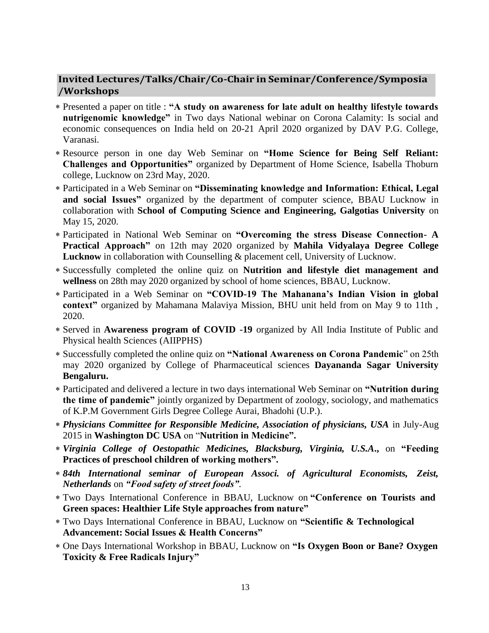# **Invited Lectures/Talks/Chair/Co-Chair in Seminar/Conference/Symposia /Workshops**

- Presented a paper on title : **"A study on awareness for late adult on healthy lifestyle towards nutrigenomic knowledge"** in Two days National webinar on Corona Calamity: Is social and economic consequences on India held on 20-21 April 2020 organized by DAV P.G. College, Varanasi.
- Resource person in one day Web Seminar on **"Home Science for Being Self Reliant: Challenges and Opportunities"** organized by Department of Home Science, Isabella Thoburn college, Lucknow on 23rd May, 2020.
- Participated in a Web Seminar on **"Disseminating knowledge and Information: Ethical, Legal and social Issues"** organized by the department of computer science, BBAU Lucknow in collaboration with **School of Computing Science and Engineering, Galgotias University** on May 15, 2020.
- Participated in National Web Seminar on **"Overcoming the stress Disease Connection- A Practical Approach"** on 12th may 2020 organized by **Mahila Vidyalaya Degree College Lucknow** in collaboration with Counselling & placement cell, University of Lucknow.
- Successfully completed the online quiz on **Nutrition and lifestyle diet management and wellness** on 28th may 2020 organized by school of home sciences, BBAU, Lucknow.
- Participated in a Web Seminar on **"COVID-19 The Mahanana's Indian Vision in global context"** organized by Mahamana Malaviya Mission, BHU unit held from on May 9 to 11th , 2020.
- Served in **Awareness program of COVID -19** organized by All India Institute of Public and Physical health Sciences (AIIPPHS)
- Successfully completed the online quiz on **"National Awareness on Corona Pandemic**" on 25th may 2020 organized by College of Pharmaceutical sciences **Dayananda Sagar University Bengaluru.**
- Participated and delivered a lecture in two days international Web Seminar on **"Nutrition during the time of pandemic"** jointly organized by Department of zoology, sociology, and mathematics of K.P.M Government Girls Degree College Aurai, Bhadohi (U.P.).
- *Physicians Committee for Responsible Medicine, Association of physicians, USA* in July-Aug 2015 in **Washington DC USA** on "**Nutrition in Medicine".**
- *Virginia College of Oestopathic Medicines, Blacksburg, Virginia, U.S.A***.,** on **"Feeding Practices of preschool children of working mothers".**
- *84th International seminar of European Associ. of Agricultural Economists, Zeist, Netherlands* on *"Food safety of street foods"*.
- Two Days International Conference in BBAU, Lucknow on **"Conference on Tourists and Green spaces: Healthier Life Style approaches from nature"**
- Two Days International Conference in BBAU, Lucknow on **"Scientific & Technological Advancement: Social Issues & Health Concerns"**
- One Days International Workshop in BBAU, Lucknow on **"Is Oxygen Boon or Bane? Oxygen Toxicity & Free Radicals Injury"**